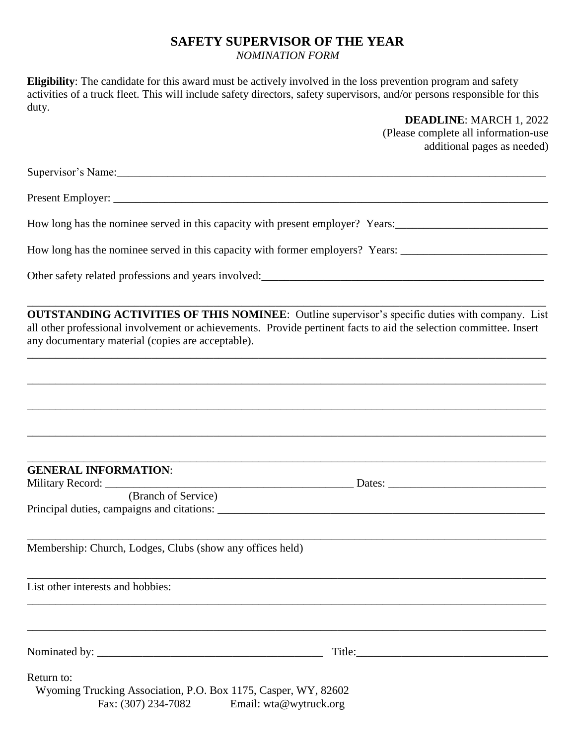## **SAFETY SUPERVISOR OF THE YEAR**

## *NOMINATION FORM*

**Eligibility**: The candidate for this award must be actively involved in the loss prevention program and safety activities of a truck fleet. This will include safety directors, safety supervisors, and/or persons responsible for this duty.

> **DEADLINE**: MARCH 1, 2022 (Please complete all information-use additional pages as needed)

Supervisor's Name:

Present Employer:

How long has the nominee served in this capacity with present employer? Years:

How long has the nominee served in this capacity with former employers? Years:

Other safety related professions and years involved:\_\_\_\_\_\_\_\_\_\_\_\_\_\_\_\_\_\_\_\_\_\_\_\_\_\_\_\_\_\_\_\_\_\_\_\_\_\_\_\_\_\_\_\_\_\_\_\_\_\_

**OUTSTANDING ACTIVITIES OF THIS NOMINEE**: Outline supervisor's specific duties with company. List all other professional involvement or achievements. Provide pertinent facts to aid the selection committee. Insert any documentary material (copies are acceptable).

\_\_\_\_\_\_\_\_\_\_\_\_\_\_\_\_\_\_\_\_\_\_\_\_\_\_\_\_\_\_\_\_\_\_\_\_\_\_\_\_\_\_\_\_\_\_\_\_\_\_\_\_\_\_\_\_\_\_\_\_\_\_\_\_\_\_\_\_\_\_\_\_\_\_\_\_\_\_\_\_\_\_\_\_\_\_\_\_\_\_\_\_

\_\_\_\_\_\_\_\_\_\_\_\_\_\_\_\_\_\_\_\_\_\_\_\_\_\_\_\_\_\_\_\_\_\_\_\_\_\_\_\_\_\_\_\_\_\_\_\_\_\_\_\_\_\_\_\_\_\_\_\_\_\_\_\_\_\_\_\_\_\_\_\_\_\_\_\_\_\_\_\_\_\_\_\_\_\_\_\_\_\_\_\_

\_\_\_\_\_\_\_\_\_\_\_\_\_\_\_\_\_\_\_\_\_\_\_\_\_\_\_\_\_\_\_\_\_\_\_\_\_\_\_\_\_\_\_\_\_\_\_\_\_\_\_\_\_\_\_\_\_\_\_\_\_\_\_\_\_\_\_\_\_\_\_\_\_\_\_\_\_\_\_\_\_\_\_\_\_\_\_\_\_\_\_\_

\_\_\_\_\_\_\_\_\_\_\_\_\_\_\_\_\_\_\_\_\_\_\_\_\_\_\_\_\_\_\_\_\_\_\_\_\_\_\_\_\_\_\_\_\_\_\_\_\_\_\_\_\_\_\_\_\_\_\_\_\_\_\_\_\_\_\_\_\_\_\_\_\_\_\_\_\_\_\_\_\_\_\_\_\_\_\_\_\_\_\_\_

\_\_\_\_\_\_\_\_\_\_\_\_\_\_\_\_\_\_\_\_\_\_\_\_\_\_\_\_\_\_\_\_\_\_\_\_\_\_\_\_\_\_\_\_\_\_\_\_\_\_\_\_\_\_\_\_\_\_\_\_\_\_\_\_\_\_\_\_\_\_\_\_\_\_\_\_\_\_\_\_\_\_\_\_\_\_\_\_\_\_\_\_

\_\_\_\_\_\_\_\_\_\_\_\_\_\_\_\_\_\_\_\_\_\_\_\_\_\_\_\_\_\_\_\_\_\_\_\_\_\_\_\_\_\_\_\_\_\_\_\_\_\_\_\_\_\_\_\_\_\_\_\_\_\_\_\_\_\_\_\_\_\_\_\_\_\_\_\_\_\_\_\_\_\_\_\_\_\_\_\_\_\_\_\_

\_\_\_\_\_\_\_\_\_\_\_\_\_\_\_\_\_\_\_\_\_\_\_\_\_\_\_\_\_\_\_\_\_\_\_\_\_\_\_\_\_\_\_\_\_\_\_\_\_\_\_\_\_\_\_\_\_\_\_\_\_\_\_\_\_\_\_\_\_\_\_\_\_\_\_\_\_\_\_\_\_\_\_\_\_\_\_\_\_\_\_\_

\_\_\_\_\_\_\_\_\_\_\_\_\_\_\_\_\_\_\_\_\_\_\_\_\_\_\_\_\_\_\_\_\_\_\_\_\_\_\_\_\_\_\_\_\_\_\_\_\_\_\_\_\_\_\_\_\_\_\_\_\_\_\_\_\_\_\_\_\_\_\_\_\_\_\_\_\_\_\_\_\_\_\_\_\_\_\_\_\_\_\_\_

\_\_\_\_\_\_\_\_\_\_\_\_\_\_\_\_\_\_\_\_\_\_\_\_\_\_\_\_\_\_\_\_\_\_\_\_\_\_\_\_\_\_\_\_\_\_\_\_\_\_\_\_\_\_\_\_\_\_\_\_\_\_\_\_\_\_\_\_\_\_\_\_\_\_\_\_\_\_\_\_\_\_\_\_\_\_\_\_\_\_\_\_

| <b>GENERAL INFORMATION:</b> |  |  |
|-----------------------------|--|--|

Military Record: \_\_\_\_\_\_\_\_\_\_\_\_\_\_\_\_\_\_\_\_\_\_\_\_\_\_\_\_\_\_\_\_\_\_\_\_\_\_\_\_\_\_\_\_ Dates: \_\_\_\_\_\_\_\_\_\_\_\_\_\_\_\_\_\_\_\_\_\_\_\_\_\_\_\_

(Branch of Service) Principal duties, campaigns and citations: \_\_\_\_\_\_\_\_\_\_\_\_\_\_\_\_\_\_\_\_\_\_\_\_\_\_\_\_\_\_\_\_\_\_\_\_\_\_\_\_\_\_\_\_\_\_\_\_\_\_\_\_\_\_\_\_\_\_

Membership: Church, Lodges, Clubs (show any offices held)

List other interests and hobbies:

Nominated by: \_\_\_\_\_\_\_\_\_\_\_\_\_\_\_\_\_\_\_\_\_\_\_\_\_\_\_\_\_\_\_\_\_\_\_\_\_\_\_\_ Title:\_\_\_\_\_\_\_\_\_\_\_\_\_\_\_\_\_\_\_\_\_\_\_\_\_\_\_\_\_\_\_\_\_\_

Return to:

 Wyoming Trucking Association, P.O. Box 1175, Casper, WY, 82602 Fax: (307) 234-7082 Email: wta@wytruck.org